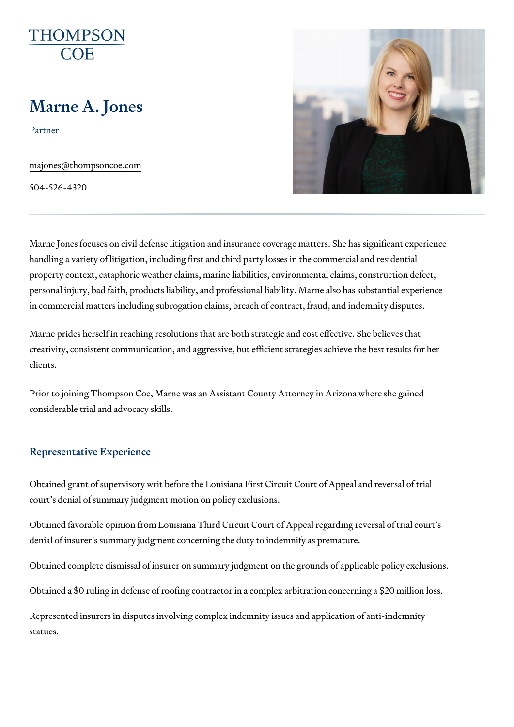# Marne A. Jones

Partner

[majones@thompso](mailto:majones@thompsoncoe.com)ncoe.com

504-526-4320

Marne Jones focuses on civil defense litigation and insurance coverage matters. handling a variety of litigation, including first and third party losses in the property context, cataphoric weather claims, marine liabilities, environmer personal injury, bad faith, products liability, and professional liability. Ma in commercial matters including subrogation claims, breach of contract, fra

Marne prides herself in reaching resolutions that are both strategic and co creativity, consistent communication, and aggressive, but efficient strateg clients.

Prior to joining Thompson Coe, Marne was an Assistant County Attorney in considerable trial and advocacy skills.

#### Representative Experience

Obtained grant of supervisory writ before the Louisiana First Circuit Court court s denial of summary judgment motion on policy exclusions.

Obtained favorable opinion from Louisiana Third Circuit Court of Appeal re denial of insurer s summary judgment concerning the duty to indemnify as

Obtained complete dismissal of insurer on summary judgment on the ground

Obtained a \$0 ruling in defense of roofing contractor in a complex arbitrat

Represented insurers in disputes involving complex indemnity issues and a statues.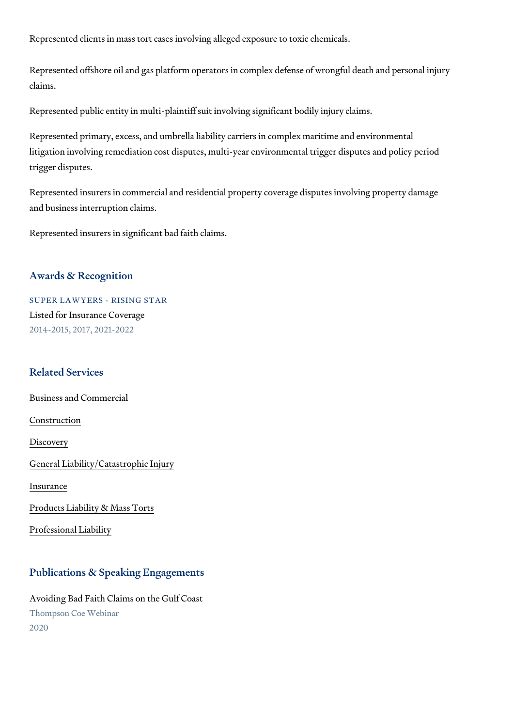Represented clients in mass tort cases involving alleged exposure to toxic

Represented offshore oil and gas platform operators in complex defense of claims.

Represented public entity in multi-plaintiff suit involving significant bodily

Represented primary, excess, and umbrella liability carriers in complex ma litigation involving remediation cost disputes, multi-year environmental tri trigger disputes.

Represented insurers in commercial and residential property coverage disp and business interruption claims.

Represented insurers in significant bad faith claims.

#### Awards & Recognition

SUPER LAWYERS - RISING STAR Listed for Insurance Coverage 2014-2015, 2017, 2021-2022

#### Related Services

[Business and C](https://www.thompsoncoe.com/people/marne-a-jones/)ommercial

[Constru](https://www.thompsoncoe.com/people/marne-a-jones/)ction

[Discov](https://www.thompsoncoe.com/people/marne-a-jones/)ery

[General Liability/Catas](https://www.thompsoncoe.com/people/marne-a-jones/)trophic Injury

[Insura](https://www.thompsoncoe.com/people/marne-a-jones/)nce

[Products Liability &](https://www.thompsoncoe.com/people/marne-a-jones/) Mass Torts

[Professional](https://www.thompsoncoe.com/people/marne-a-jones/) Liability

### Publications & Speaking Engagements

Avoiding Bad Faith Claims on the Gulf Coast Thompson Coe Webinar 2020